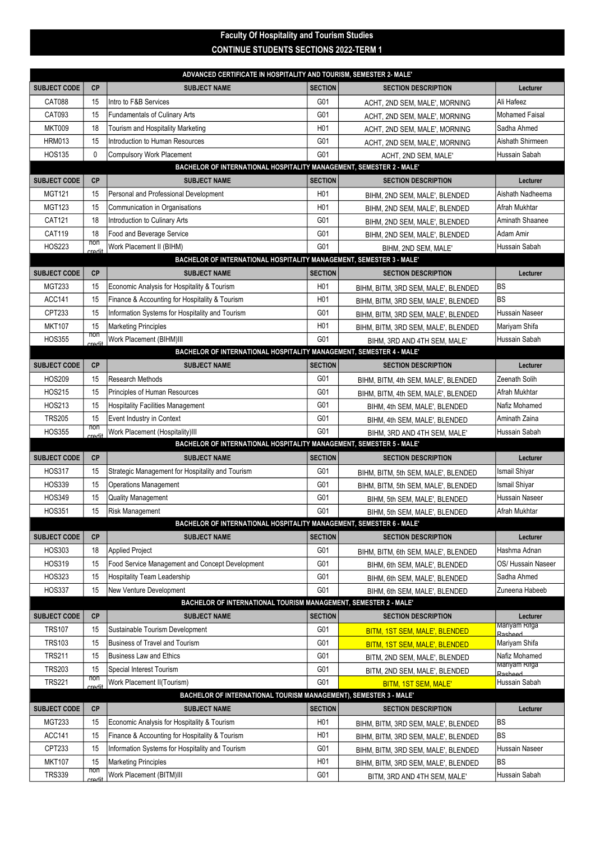## CONTINUE STUDENTS SECTIONS 2022-TERM 1 Faculty Of Hospitality and Tourism Studies

| ADVANCED CERTIFICATE IN HOSPITALITY AND TOURISM, SEMESTER 2- MALE'   |                      |                                                                      |                         |                                                                     |                          |  |  |  |  |
|----------------------------------------------------------------------|----------------------|----------------------------------------------------------------------|-------------------------|---------------------------------------------------------------------|--------------------------|--|--|--|--|
| <b>SUBJECT CODE</b>                                                  | <b>CP</b>            | <b>SUBJECT NAME</b>                                                  | <b>SECTION</b>          | <b>SECTION DESCRIPTION</b>                                          | Lecturer                 |  |  |  |  |
| <b>CAT088</b>                                                        | 15                   | Intro to F&B Services                                                | G01                     | ACHT, 2ND SEM, MALE', MORNING                                       | Ali Hafeez               |  |  |  |  |
| CAT093                                                               | 15                   | Fundamentals of Culinary Arts                                        | G01                     | ACHT, 2ND SEM, MALE', MORNING                                       | <b>Mohamed Faisal</b>    |  |  |  |  |
| <b>MKT009</b>                                                        | 18                   | Tourism and Hospitality Marketing                                    | H <sub>0</sub> 1        | ACHT, 2ND SEM, MALE', MORNING                                       | Sadha Ahmed              |  |  |  |  |
| <b>HRM013</b>                                                        | 15                   | Introduction to Human Resources                                      | G01                     | ACHT, 2ND SEM, MALE', MORNING                                       | Aishath Shirmeen         |  |  |  |  |
| <b>HOS135</b>                                                        | $\mathbf 0$          | <b>Compulsory Work Placement</b>                                     | G01                     | ACHT, 2ND SEM, MALE'                                                | Hussain Sabah            |  |  |  |  |
| BACHELOR OF INTERNATIONAL HOSPITALITY MANAGEMENT, SEMESTER 2 - MALE' |                      |                                                                      |                         |                                                                     |                          |  |  |  |  |
| <b>SUBJECT CODE</b>                                                  | <b>CP</b>            | <b>SUBJECT NAME</b>                                                  | <b>SECTION</b>          | <b>SECTION DESCRIPTION</b>                                          | Lecturer                 |  |  |  |  |
| <b>MGT121</b>                                                        | 15                   | Personal and Professional Development                                | H <sub>0</sub> 1        | BIHM, 2ND SEM, MALE', BLENDED                                       | Aishath Nadheema         |  |  |  |  |
| <b>MGT123</b>                                                        | 15                   | Communication in Organisations                                       | H <sub>0</sub> 1        | BIHM, 2ND SEM, MALE', BLENDED                                       | Afrah Mukhtar            |  |  |  |  |
| CAT121                                                               | 18                   | Introduction to Culinary Arts                                        | G01                     | BIHM, 2ND SEM, MALE', BLENDED                                       | Aminath Shaanee          |  |  |  |  |
| CAT119                                                               | 18                   | Food and Beverage Service                                            | G01                     | BIHM, 2ND SEM, MALE', BLENDED                                       | Adam Amir                |  |  |  |  |
| <b>HOS223</b>                                                        | non<br><b>credit</b> | Work Placement II (BIHM)                                             | G01                     | BIHM, 2ND SEM, MALE'                                                | Hussain Sabah            |  |  |  |  |
|                                                                      |                      | BACHELOR OF INTERNATIONAL HOSPITALITY MANAGEMENT, SEMESTER 3 - MALE' |                         |                                                                     |                          |  |  |  |  |
| <b>SUBJECT CODE</b>                                                  | <b>CP</b>            | <b>SUBJECT NAME</b>                                                  | <b>SECTION</b>          | <b>SECTION DESCRIPTION</b>                                          | Lecturer                 |  |  |  |  |
| <b>MGT233</b>                                                        | 15                   | Economic Analysis for Hospitality & Tourism                          | H <sub>0</sub> 1        | BIHM, BITM, 3RD SEM, MALE', BLENDED                                 | lbs                      |  |  |  |  |
| <b>ACC141</b>                                                        | 15                   | Finance & Accounting for Hospitality & Tourism                       | H <sub>0</sub> 1        | BIHM, BITM, 3RD SEM, MALE', BLENDED                                 | lвs                      |  |  |  |  |
| CPT233                                                               | 15                   | Information Systems for Hospitality and Tourism                      | G01                     | BIHM, BITM, 3RD SEM, MALE', BLENDED                                 | <b>Hussain Naseer</b>    |  |  |  |  |
| <b>MKT107</b>                                                        | 15                   | Marketing Principles                                                 | H <sub>0</sub> 1        | BIHM, BITM, 3RD SEM, MALE', BLENDED                                 | Mariyam Shifa            |  |  |  |  |
| <b>HOS355</b>                                                        | non<br>credit        | Work Placement (BIHM)III                                             | G01                     | BIHM, 3RD AND 4TH SEM, MALE'                                        | Hussain Sabah            |  |  |  |  |
|                                                                      |                      | BACHELOR OF INTERNATIONAL HOSPITALITY MANAGEMENT, SEMESTER 4 - MALE' |                         |                                                                     |                          |  |  |  |  |
| <b>SUBJECT CODE</b>                                                  | <b>CP</b>            | <b>SUBJECT NAME</b>                                                  | <b>SECTION</b>          | <b>SECTION DESCRIPTION</b>                                          | Lecturer                 |  |  |  |  |
| <b>HOS209</b>                                                        | 15                   | <b>Research Methods</b>                                              | G01                     | BIHM, BITM, 4th SEM, MALE', BLENDED                                 | Zeenath Solih            |  |  |  |  |
| <b>HOS215</b>                                                        | 15                   | Principles of Human Resources                                        | G01                     | BIHM, BITM, 4th SEM, MALE', BLENDED                                 | Afrah Mukhtar            |  |  |  |  |
| HOS213                                                               | 15                   | <b>Hospitality Facilities Management</b>                             | G01                     | BIHM, 4th SEM, MALE', BLENDED                                       | Nafiz Mohamed            |  |  |  |  |
| <b>TRS205</b>                                                        | 15                   | Event Industry in Context                                            | G01                     | BIHM, 4th SEM, MALE', BLENDED                                       | Aminath Zaina            |  |  |  |  |
| <b>HOS355</b>                                                        | non<br>credit        | Work Placement (Hospitality)III                                      | G01                     | BIHM, 3RD AND 4TH SEM, MALE'                                        | Hussain Sabah            |  |  |  |  |
| BACHELOR OF INTERNATIONAL HOSPITALITY MANAGEMENT, SEMESTER 5 - MALE' |                      |                                                                      |                         |                                                                     |                          |  |  |  |  |
|                                                                      |                      |                                                                      |                         |                                                                     |                          |  |  |  |  |
| <b>SUBJECT CODE</b>                                                  | <b>CP</b>            | <b>SUBJECT NAME</b>                                                  | <b>SECTION</b>          | <b>SECTION DESCRIPTION</b>                                          | Lecturer                 |  |  |  |  |
| <b>HOS317</b>                                                        | 15                   | Strategic Management for Hospitality and Tourism                     | G01                     | BIHM, BITM, 5th SEM, MALE', BLENDED                                 | Ismail Shiyar            |  |  |  |  |
| <b>HOS339</b>                                                        | 15                   | <b>Operations Management</b>                                         | G01                     | BIHM, BITM, 5th SEM, MALE', BLENDED                                 | <b>Ismail Shiyar</b>     |  |  |  |  |
| <b>HOS349</b>                                                        | 15                   | Quality Management                                                   | G01                     | BIHM, 5th SEM, MALE', BLENDED                                       | <b>Hussain Naseer</b>    |  |  |  |  |
| <b>HOS351</b>                                                        | 15                   | <b>Risk Management</b>                                               | G01                     | BIHM, 5th SEM, MALE', BLENDED                                       | Afrah Mukhtar            |  |  |  |  |
|                                                                      |                      | BACHELOR OF INTERNATIONAL HOSPITALITY MANAGEMENT, SEMESTER 6 - MALE' |                         |                                                                     |                          |  |  |  |  |
| <b>SUBJECT CODE</b>                                                  | СP                   | <b>SUBJECT NAME</b>                                                  | <b>SECTION</b>          | <b>SECTION DESCRIPTION</b>                                          | Lecturer                 |  |  |  |  |
| <b>HOS303</b>                                                        | 18                   | <b>Applied Project</b>                                               | G01                     | BIHM, BITM, 6th SEM, MALE', BLENDED                                 | Hashma Adnan             |  |  |  |  |
| <b>HOS319</b>                                                        | 15                   | Food Service Management and Concept Development                      | G01                     | BIHM, 6th SEM, MALE', BLENDED                                       | OS/ Hussain Naseer       |  |  |  |  |
| <b>HOS323</b>                                                        | 15                   | Hospitality Team Leadership                                          | G01                     | BIHM, 6th SEM, MALE', BLENDED                                       | Sadha Ahmed              |  |  |  |  |
| <b>HOS337</b>                                                        | 15                   | New Venture Development                                              | G01                     | BIHM, 6th SEM, MALE', BLENDED                                       | Zuneena Habeeb           |  |  |  |  |
|                                                                      |                      | BACHELOR OF INTERNATIONAL TOURISM MANAGEMENT, SEMESTER 2 - MALE'     |                         |                                                                     |                          |  |  |  |  |
| <b>SUBJECT CODE</b>                                                  | <b>CP</b>            | <b>SUBJECT NAME</b>                                                  | <b>SECTION</b>          | <b>SECTION DESCRIPTION</b>                                          | Lecturer                 |  |  |  |  |
| <b>TRS107</b>                                                        | 15                   | Sustainable Tourism Development                                      | G01                     | BITM, 1ST SEM, MALE', BLENDED                                       | mariyam Rifga<br>Rachood |  |  |  |  |
| <b>TRS103</b>                                                        | 15                   | <b>Business of Travel and Tourism</b>                                | G01                     | BITM, 1ST SEM, MALE', BLENDED                                       | Mariyam Shifa            |  |  |  |  |
| <b>TRS211</b>                                                        | 15                   | <b>Business Law and Ethics</b>                                       | G01                     | BITM, 2ND SEM, MALE', BLENDED                                       | Nafiz Mohamed            |  |  |  |  |
| <b>TRS203</b>                                                        | 15                   | Special Interest Tourism                                             | G01                     | BITM, 2ND SEM, MALE', BLENDED                                       | Mariyam Rifga<br>Rasheed |  |  |  |  |
| <b>TRS221</b>                                                        | non<br>credit        | Work Placement II(Tourism)                                           | G01                     | BITM, 1ST SEM, MALE'                                                | Hussain Sabah            |  |  |  |  |
|                                                                      |                      | BACHELOR OF INTERNATIONAL TOURISM MANAGEMENT), SEMESTER 3 - MALE'    |                         |                                                                     |                          |  |  |  |  |
| <b>SUBJECT CODE</b>                                                  | <b>CP</b>            | <b>SUBJECT NAME</b>                                                  | <b>SECTION</b>          | <b>SECTION DESCRIPTION</b>                                          | Lecturer                 |  |  |  |  |
| <b>MGT233</b>                                                        | 15                   | Economic Analysis for Hospitality & Tourism                          | H <sub>0</sub> 1        | BIHM, BITM, 3RD SEM, MALE', BLENDED                                 | <b>BS</b>                |  |  |  |  |
| ACC141                                                               | 15                   | Finance & Accounting for Hospitality & Tourism                       | H <sub>0</sub> 1        | BIHM, BITM, 3RD SEM, MALE', BLENDED                                 | lbs                      |  |  |  |  |
| CPT233                                                               | 15                   | Information Systems for Hospitality and Tourism                      | G01                     | BIHM, BITM, 3RD SEM, MALE', BLENDED                                 | Hussain Naseer           |  |  |  |  |
| <b>MKT107</b><br><b>TRS339</b>                                       | 15<br>non            | <b>Marketing Principles</b><br>Work Placement (BITM)III              | H <sub>0</sub> 1<br>G01 | BIHM, BITM, 3RD SEM, MALE', BLENDED<br>BITM, 3RD AND 4TH SEM, MALE' | BS<br>Hussain Sabah      |  |  |  |  |